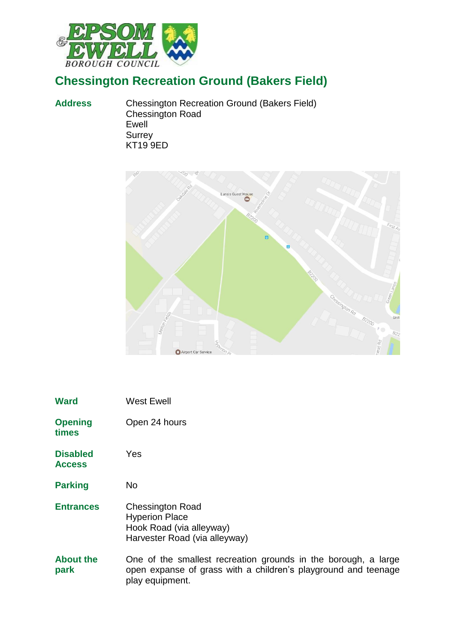

## **Chessington Recreation Ground (Bakers Field)**

**Address** Chessington Recreation Ground (Bakers Field) Chessington Road Ewell **Surrey** KT19 9ED



| <b>Ward</b>                      | <b>West Ewell</b>                                                                                                                                   |
|----------------------------------|-----------------------------------------------------------------------------------------------------------------------------------------------------|
| <b>Opening</b><br>times          | Open 24 hours                                                                                                                                       |
| <b>Disabled</b><br><b>Access</b> | Yes                                                                                                                                                 |
| <b>Parking</b>                   | No                                                                                                                                                  |
| <b>Entrances</b>                 | <b>Chessington Road</b><br><b>Hyperion Place</b><br>Hook Road (via alleyway)<br>Harvester Road (via alleyway)                                       |
| <b>About the</b><br>park         | One of the smallest recreation grounds in the borough, a large<br>open expanse of grass with a children's playground and teenage<br>play equipment. |